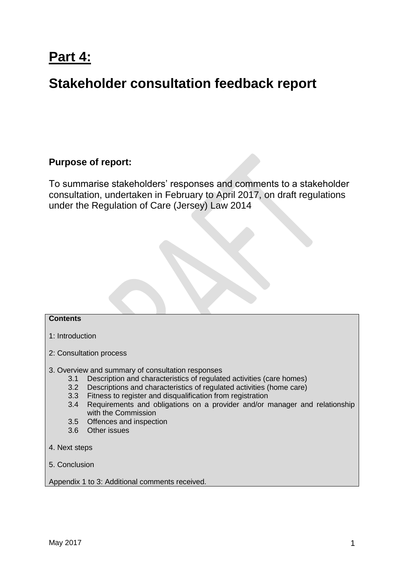# **Part 4:**

# **Stakeholder consultation feedback report**

# **Purpose of report:**

To summarise stakeholders' responses and comments to a stakeholder consultation, undertaken in February to April 2017, on draft regulations under the Regulation of Care (Jersey) Law 2014

# **Contents**

- 1: Introduction
- 2: Consultation process
- 3. Overview and summary of consultation responses
	- 3.1 Description and characteristics of regulated activities (care homes)
	- 3.2 Descriptions and characteristics of regulated activities (home care)
	- 3.3 Fitness to register and disqualification from registration
	- 3.4 Requirements and obligations on a provider and/or manager and relationship with the Commission
	- 3.5 Offences and inspection
	- 3.6 Other issues
- 4. Next steps
- 5. Conclusion

Appendix 1 to 3: Additional comments received.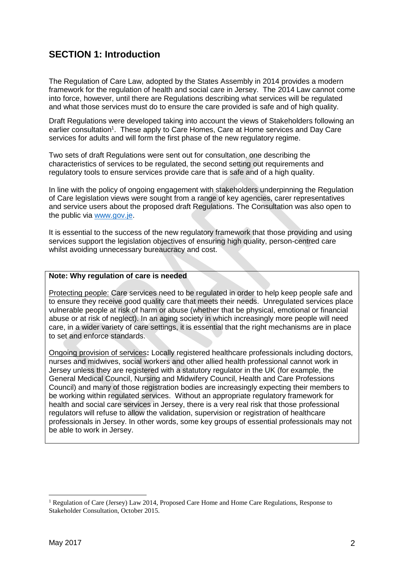# **SECTION 1: Introduction**

The Regulation of Care Law, adopted by the States Assembly in 2014 provides a modern framework for the regulation of health and social care in Jersey. The 2014 Law cannot come into force, however, until there are Regulations describing what services will be regulated and what those services must do to ensure the care provided is safe and of high quality.

Draft Regulations were developed taking into account the views of Stakeholders following an earlier consultation<sup>1</sup>. These apply to Care Homes, Care at Home services and Day Care services for adults and will form the first phase of the new regulatory regime.

Two sets of draft Regulations were sent out for consultation, one describing the characteristics of services to be regulated, the second setting out requirements and regulatory tools to ensure services provide care that is safe and of a high quality.

In line with the policy of ongoing engagement with stakeholders underpinning the Regulation of Care legislation views were sought from a range of key agencies, carer representatives and service users about the proposed draft Regulations. The Consultation was also open to the public via [www.gov.je.](http://www.gov.je/)

It is essential to the success of the new regulatory framework that those providing and using services support the legislation objectives of ensuring high quality, person-centred care whilst avoiding unnecessary bureaucracy and cost.

# **Note: Why regulation of care is needed**

Protecting people: Care services need to be regulated in order to help keep people safe and to ensure they receive good quality care that meets their needs. Unregulated services place vulnerable people at risk of harm or abuse (whether that be physical, emotional or financial abuse or at risk of neglect). In an aging society in which increasingly more people will need care, in a wider variety of care settings, it is essential that the right mechanisms are in place to set and enforce standards.

Ongoing provision of services**:** Locally registered healthcare professionals including doctors, nurses and midwives, social workers and other allied health professional cannot work in Jersey unless they are registered with a statutory regulator in the UK (for example, the General Medical Council, Nursing and Midwifery Council, Health and Care Professions Council) and many of those registration bodies are increasingly expecting their members to be working within regulated services. Without an appropriate regulatory framework for health and social care services in Jersey, there is a very real risk that those professional regulators will refuse to allow the validation, supervision or registration of healthcare professionals in Jersey. In other words, some key groups of essential professionals may not be able to work in Jersey.

1

<sup>&</sup>lt;sup>1</sup> Regulation of Care (Jersey) Law 2014, Proposed Care Home and Home Care Regulations, Response to Stakeholder Consultation, October 2015.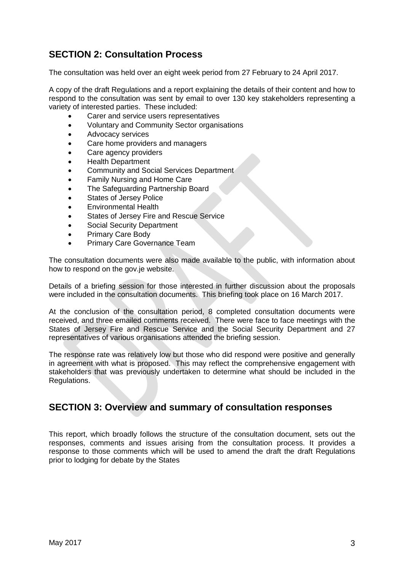# **SECTION 2: Consultation Process**

The consultation was held over an eight week period from 27 February to 24 April 2017.

A copy of the draft Regulations and a report explaining the details of their content and how to respond to the consultation was sent by email to over 130 key stakeholders representing a variety of interested parties. These included:

- Carer and service users representatives
- Voluntary and Community Sector organisations
- Advocacy services
- Care home providers and managers
- Care agency providers
- Health Department
- Community and Social Services Department
- Family Nursing and Home Care
- The Safeguarding Partnership Board
- States of Jersey Police
- Environmental Health
- States of Jersey Fire and Rescue Service
- Social Security Department
- Primary Care Body
- Primary Care Governance Team

The consultation documents were also made available to the public, with information about how to respond on the gov.je website.

Details of a briefing session for those interested in further discussion about the proposals were included in the consultation documents. This briefing took place on 16 March 2017.

At the conclusion of the consultation period, 8 completed consultation documents were received, and three emailed comments received. There were face to face meetings with the States of Jersey Fire and Rescue Service and the Social Security Department and 27 representatives of various organisations attended the briefing session.

The response rate was relatively low but those who did respond were positive and generally in agreement with what is proposed. This may reflect the comprehensive engagement with stakeholders that was previously undertaken to determine what should be included in the Regulations.

# **SECTION 3: Overview and summary of consultation responses**

This report, which broadly follows the structure of the consultation document, sets out the responses, comments and issues arising from the consultation process. It provides a response to those comments which will be used to amend the draft the draft Regulations prior to lodging for debate by the States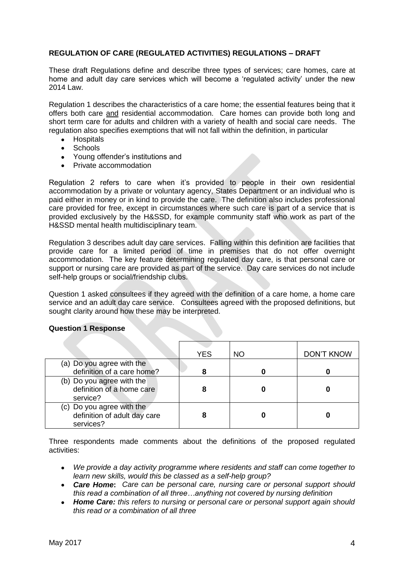# **REGULATION OF CARE (REGULATED ACTIVITIES) REGULATIONS – DRAFT**

These draft Regulations define and describe three types of services; care homes, care at home and adult day care services which will become a 'regulated activity' under the new 2014 Law.

Regulation 1 describes the characteristics of a care home; the essential features being that it offers both care and residential accommodation. Care homes can provide both long and short term care for adults and children with a variety of health and social care needs. The regulation also specifies exemptions that will not fall within the definition, in particular

- Hospitals
- Schools
- Young offender's institutions and
- Private accommodation

Regulation 2 refers to care when it's provided to people in their own residential accommodation by a private or voluntary agency, States Department or an individual who is paid either in money or in kind to provide the care. The definition also includes professional care provided for free, except in circumstances where such care is part of a service that is provided exclusively by the H&SSD, for example community staff who work as part of the H&SSD mental health multidisciplinary team.

Regulation 3 describes adult day care services. Falling within this definition are facilities that provide care for a limited period of time in premises that do not offer overnight accommodation. The key feature determining regulated day care, is that personal care or support or nursing care are provided as part of the service. Day care services do not include self-help groups or social/friendship clubs.

Question 1 asked consultees if they agreed with the definition of a care home, a home care service and an adult day care service. Consultees agreed with the proposed definitions, but sought clarity around how these may be interpreted.

|                                                                        | <b>YES</b> | ΝO | <b>DON'T KNOW</b> |
|------------------------------------------------------------------------|------------|----|-------------------|
| (a) Do you agree with the<br>definition of a care home?                |            |    |                   |
| (b) Do you agree with the<br>definition of a home care<br>service?     |            |    |                   |
| (c) Do you agree with the<br>definition of adult day care<br>services? |            |    |                   |

# **Question 1 Response**

Three respondents made comments about the definitions of the proposed regulated activities:

- *We provide a day activity programme where residents and staff can come together to learn new skills, would this be classed as a self-help group?*
- *Care Home***:** *Care can be personal care, nursing care or personal support should this read a combination of all three…anything not covered by nursing definition*
- *Home Care: this refers to nursing or personal care or personal support again should this read or a combination of all three*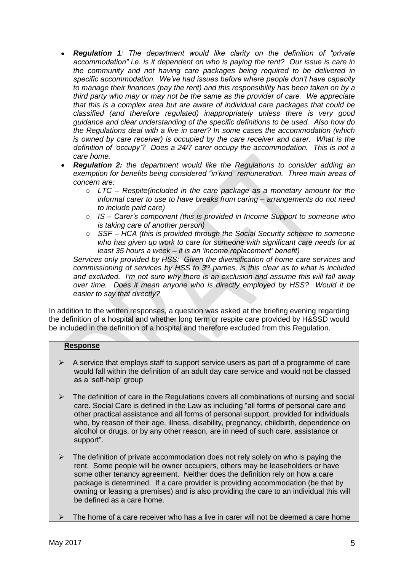- *Regulation 1: The department would like clarity on the definition of "private accommodation" i.e. is it dependent on who is paying the rent? Our issue is care in the community and not having care packages being required to be delivered in specific accommodation. We've had issues before where people don't have capacity to manage their finances (pay the rent) and this responsibility has been taken on by a third party who may or may not be the same as the provider of care. We appreciate that this is a complex area but are aware of individual care packages that could be classified (and therefore regulated) inappropriately unless there is very good guidance and clear understanding of the specific definitions to be used. Also how do the Regulations deal with a live in carer? In some cases the accommodation (which is owned by care receiver) is occupied by the care receiver and carer. What is the definition of 'occupy'? Does a 24/7 carer occupy the accommodation. This is not a care home.*
- *Regulation 2: the department would like the Regulations to consider adding an exemption for benefits being considered "in'kind" remuneration. Three main areas of concern are:*
	- o *LTC – Respite(included in the care package as a monetary amount for the informal carer to use to have breaks from caring – arrangements do not need to include paid care)*
	- o *IS – Carer's component (this is provided in Income Support to someone who is taking care of another person)*
	- o *SSF – HCA (this is provided through the Social Security scheme to someone who has given up work to care for someone with significant care needs for at least 35 hours a week – it is an 'income replacement' benefit)*

*Services only provided by HSS: Given the diversification of home care services and commissioning of services by HSS to 3rd parties, is this clear as to what is included and excluded. I'm not sure why there is an exclusion and assume this will fall away over time. Does it mean anyone who is directly employed by HSS? Would it be easier to say that directly?*

In addition to the written responses, a question was asked at the briefing evening regarding the definition of a hospital and whether long term or respite care provided by H&SSD would be included in the definition of a hospital and therefore excluded from this Regulation.

# **Response**

- $\triangleright$  A service that employs staff to support service users as part of a programme of care would fall within the definition of an adult day care service and would not be classed as a 'self-help' group
- $\triangleright$  The definition of care in the Regulations covers all combinations of nursing and social care. Social Care is defined in the Law as including "all forms of personal care and other practical assistance and all forms of personal support, provided for individuals who, by reason of their age, illness, disability, pregnancy, childbirth, dependence on alcohol or drugs, or by any other reason, are in need of such care, assistance or support".
- $\triangleright$  The definition of private accommodation does not rely solely on who is paying the rent. Some people will be owner occupiers, others may be leaseholders or have some other tenancy agreement. Neither does the definition rely on how a care package is determined. If a care provider is providing accommodation (be that by owning or leasing a premises) and is also providing the care to an individual this will be defined as a care home.
- The home of a care receiver who has a live in carer will not be deemed a care home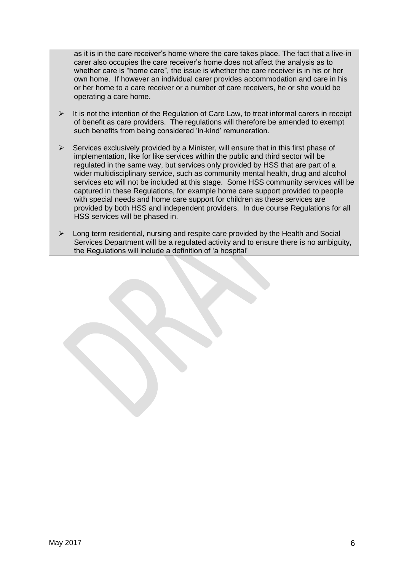as it is in the care receiver's home where the care takes place. The fact that a live-in carer also occupies the care receiver's home does not affect the analysis as to whether care is "home care", the issue is whether the care receiver is in his or her own home. If however an individual carer provides accommodation and care in his or her home to a care receiver or a number of care receivers, he or she would be operating a care home.

- $\triangleright$  It is not the intention of the Regulation of Care Law, to treat informal carers in receipt of benefit as care providers. The regulations will therefore be amended to exempt such benefits from being considered 'in-kind' remuneration.
- $\triangleright$  Services exclusively provided by a Minister, will ensure that in this first phase of implementation, like for like services within the public and third sector will be regulated in the same way, but services only provided by HSS that are part of a wider multidisciplinary service, such as community mental health, drug and alcohol services etc will not be included at this stage. Some HSS community services will be captured in these Regulations, for example home care support provided to people with special needs and home care support for children as these services are provided by both HSS and independent providers. In due course Regulations for all HSS services will be phased in.
- Long term residential, nursing and respite care provided by the Health and Social Services Department will be a regulated activity and to ensure there is no ambiguity, the Regulations will include a definition of 'a hospital'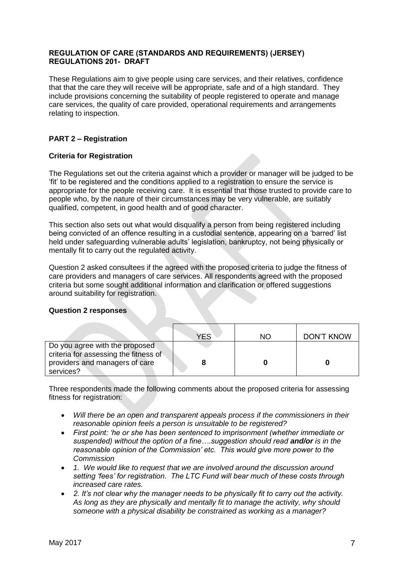# **REGULATION OF CARE (STANDARDS AND REQUIREMENTS) (JERSEY) REGULATIONS 201- DRAFT**

These Regulations aim to give people using care services, and their relatives, confidence that that the care they will receive will be appropriate, safe and of a high standard. They include provisions concerning the suitability of people registered to operate and manage care services, the quality of care provided, operational requirements and arrangements relating to inspection.

# **PART 2 – Registration**

# **Criteria for Registration**

The Regulations set out the criteria against which a provider or manager will be judged to be 'fit' to be registered and the conditions applied to a registration to ensure the service is appropriate for the people receiving care. It is essential that those trusted to provide care to people who, by the nature of their circumstances may be very vulnerable, are suitably qualified, competent, in good health and of good character.

This section also sets out what would disqualify a person from being registered including being convicted of an offence resulting in a custodial sentence, appearing on a 'barred' list held under safeguarding vulnerable adults' legislation, bankruptcy, not being physically or mentally fit to carry out the regulated activity.

Question 2 asked consultees if the agreed with the proposed criteria to judge the fitness of care providers and managers of care services. All respondents agreed with the proposed criteria but some sought additional information and clarification or offered suggestions around suitability for registration.

# **Question 2 responses**

|                                       | YFS | NO. | <b>DON'T KNOW</b> |
|---------------------------------------|-----|-----|-------------------|
| Do you agree with the proposed        |     |     |                   |
| criteria for assessing the fitness of |     |     |                   |
| providers and managers of care        |     |     |                   |
| services?                             |     |     |                   |

Three respondents made the following comments about the proposed criteria for assessing fitness for registration:

- *Will there be an open and transparent appeals process if the commissioners in their reasonable opinion feels a person is unsuitable to be registered?*
- *First point: 'he or she has been sentenced to imprisonment (whether immediate or suspended) without the option of a fine….suggestion should read and/or is in the reasonable opinion of the Commission' etc. This would give more power to the Commission*
- *1. We would like to request that we are involved around the discussion around setting 'fees' for registration. The LTC Fund will bear much of these costs through increased care rates.*
- *2. It's not clear why the manager needs to be physically fit to carry out the activity. As long as they are physically and mentally fit to manage the activity, why should someone with a physical disability be constrained as working as a manager?*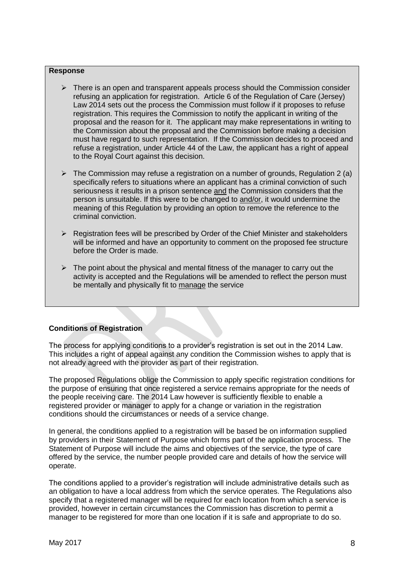#### **Response**

- $\triangleright$  There is an open and transparent appeals process should the Commission consider refusing an application for registration. Article 6 of the Regulation of Care (Jersey) Law 2014 sets out the process the Commission must follow if it proposes to refuse registration. This requires the Commission to notify the applicant in writing of the proposal and the reason for it. The applicant may make representations in writing to the Commission about the proposal and the Commission before making a decision must have regard to such representation. If the Commission decides to proceed and refuse a registration, under Article 44 of the Law, the applicant has a right of appeal to the Royal Court against this decision.
- $\triangleright$  The Commission may refuse a registration on a number of grounds, Regulation 2 (a) specifically refers to situations where an applicant has a criminal conviction of such seriousness it results in a prison sentence and the Commission considers that the person is unsuitable. If this were to be changed to and/or, it would undermine the meaning of this Regulation by providing an option to remove the reference to the criminal conviction.
- $\triangleright$  Registration fees will be prescribed by Order of the Chief Minister and stakeholders will be informed and have an opportunity to comment on the proposed fee structure before the Order is made.
- $\triangleright$  The point about the physical and mental fitness of the manager to carry out the activity is accepted and the Regulations will be amended to reflect the person must be mentally and physically fit to manage the service

# **Conditions of Registration**

The process for applying conditions to a provider's registration is set out in the 2014 Law. This includes a right of appeal against any condition the Commission wishes to apply that is not already agreed with the provider as part of their registration.

The proposed Regulations oblige the Commission to apply specific registration conditions for the purpose of ensuring that once registered a service remains appropriate for the needs of the people receiving care. The 2014 Law however is sufficiently flexible to enable a registered provider or manager to apply for a change or variation in the registration conditions should the circumstances or needs of a service change.

In general, the conditions applied to a registration will be based be on information supplied by providers in their Statement of Purpose which forms part of the application process. The Statement of Purpose will include the aims and objectives of the service, the type of care offered by the service, the number people provided care and details of how the service will operate.

The conditions applied to a provider's registration will include administrative details such as an obligation to have a local address from which the service operates. The Regulations also specify that a registered manager will be required for each location from which a service is provided, however in certain circumstances the Commission has discretion to permit a manager to be registered for more than one location if it is safe and appropriate to do so.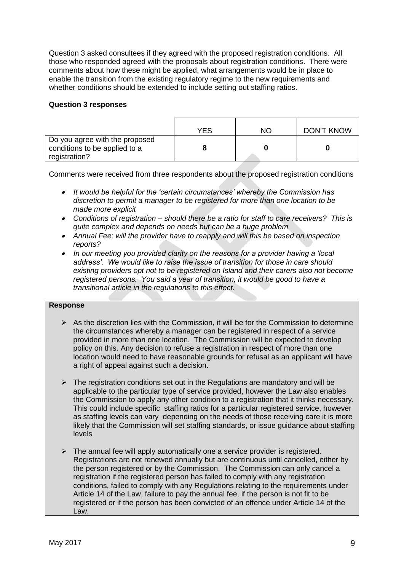Question 3 asked consultees if they agreed with the proposed registration conditions. All those who responded agreed with the proposals about registration conditions. There were comments about how these might be applied, what arrangements would be in place to enable the transition from the existing regulatory regime to the new requirements and whether conditions should be extended to include setting out staffing ratios.

### **Question 3 responses**

|                                                                                  | YES | NΟ | <b>DON'T KNOW</b> |
|----------------------------------------------------------------------------------|-----|----|-------------------|
| Do you agree with the proposed<br>conditions to be applied to a<br>registration? |     |    |                   |

Comments were received from three respondents about the proposed registration conditions

- *It would be helpful for the 'certain circumstances' whereby the Commission has discretion to permit a manager to be registered for more than one location to be made more explicit*
- *Conditions of registration – should there be a ratio for staff to care receivers? This is quite complex and depends on needs but can be a huge problem*
- *Annual Fee: will the provider have to reapply and will this be based on inspection reports?*
- $\bullet$  *In our meeting you provided clarity on the reasons for a provider having a 'local address'. We would like to raise the issue of transition for those in care should existing providers opt not to be registered on Island and their carers also not become registered persons. You said a year of transition, it would be good to have a transitional article in the regulations to this effect.*

# **Response**

- $\triangleright$  As the discretion lies with the Commission, it will be for the Commission to determine the circumstances whereby a manager can be registered in respect of a service provided in more than one location. The Commission will be expected to develop policy on this. Any decision to refuse a registration in respect of more than one location would need to have reasonable grounds for refusal as an applicant will have a right of appeal against such a decision.
- $\triangleright$  The registration conditions set out in the Regulations are mandatory and will be applicable to the particular type of service provided, however the Law also enables the Commission to apply any other condition to a registration that it thinks necessary. This could include specific staffing ratios for a particular registered service, however as staffing levels can vary depending on the needs of those receiving care it is more likely that the Commission will set staffing standards, or issue guidance about staffing levels
- $\triangleright$  The annual fee will apply automatically one a service provider is registered. Registrations are not renewed annually but are continuous until cancelled, either by the person registered or by the Commission. The Commission can only cancel a registration if the registered person has failed to comply with any registration conditions, failed to comply with any Regulations relating to the requirements under Article 14 of the Law, failure to pay the annual fee, if the person is not fit to be registered or if the person has been convicted of an offence under Article 14 of the Law.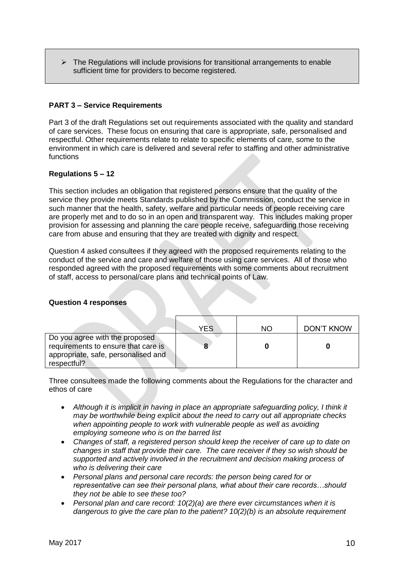$\triangleright$  The Regulations will include provisions for transitional arrangements to enable sufficient time for providers to become registered.

# **PART 3 – Service Requirements**

Part 3 of the draft Regulations set out requirements associated with the quality and standard of care services. These focus on ensuring that care is appropriate, safe, personalised and respectful. Other requirements relate to relate to specific elements of care, some to the environment in which care is delivered and several refer to staffing and other administrative functions

# **Regulations 5 – 12**

This section includes an obligation that registered persons ensure that the quality of the service they provide meets Standards published by the Commission, conduct the service in such manner that the health, safety, welfare and particular needs of people receiving care are properly met and to do so in an open and transparent way. This includes making proper provision for assessing and planning the care people receive, safeguarding those receiving care from abuse and ensuring that they are treated with dignity and respect.

Question 4 asked consultees if they agreed with the proposed requirements relating to the conduct of the service and care and welfare of those using care services. All of those who responded agreed with the proposed requirements with some comments about recruitment of staff, access to personal/care plans and technical points of Law.

#### **Question 4 responses**

|                                                                                                                             | YES | NO | DON'T KNOW |
|-----------------------------------------------------------------------------------------------------------------------------|-----|----|------------|
| Do you agree with the proposed<br>requirements to ensure that care is<br>appropriate, safe, personalised and<br>respectful? | 8   |    |            |

Three consultees made the following comments about the Regulations for the character and ethos of care

- Although it is implicit in having in place an appropriate safeguarding policy, I think it *may be worthwhile being explicit about the need to carry out all appropriate checks*  when appointing people to work with vulnerable people as well as avoiding *employing someone who is on the barred list*
- *Changes of staff, a registered person should keep the receiver of care up to date on changes in staff that provide their care. The care receiver if they so wish should be supported and actively involved in the recruitment and decision making process of who is delivering their care*
- *Personal plans and personal care records: the person being cared for or representative can see their personal plans, what about their care records…should they not be able to see these too?*
- *Personal plan and care record: 10(2)(a) are there ever circumstances when it is dangerous to give the care plan to the patient? 10(2)(b) is an absolute requirement*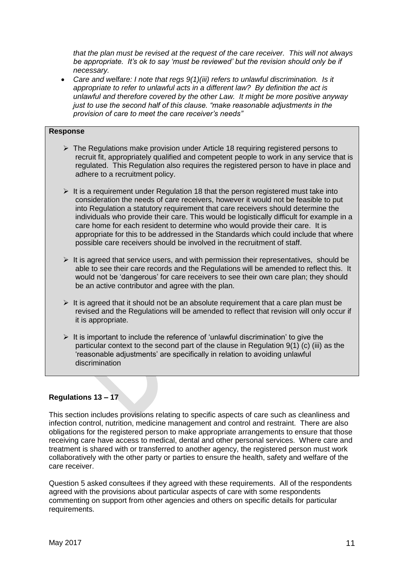*that the plan must be revised at the request of the care receiver. This will not always be appropriate. It's ok to say 'must be reviewed' but the revision should only be if necessary.*

 *Care and welfare: I note that regs 9(1)(iii) refers to unlawful discrimination. Is it appropriate to refer to unlawful acts in a different law? By definition the act is unlawful and therefore covered by the other Law. It might be more positive anyway just to use the second half of this clause. "make reasonable adjustments in the provision of care to meet the care receiver's needs"*

# **Response**

- $\triangleright$  The Regulations make provision under Article 18 requiring registered persons to recruit fit, appropriately qualified and competent people to work in any service that is regulated. This Regulation also requires the registered person to have in place and adhere to a recruitment policy.
- $\geq$  It is a requirement under Regulation 18 that the person registered must take into consideration the needs of care receivers, however it would not be feasible to put into Regulation a statutory requirement that care receivers should determine the individuals who provide their care. This would be logistically difficult for example in a care home for each resident to determine who would provide their care. It is appropriate for this to be addressed in the Standards which could include that where possible care receivers should be involved in the recruitment of staff.
- $\triangleright$  It is agreed that service users, and with permission their representatives, should be able to see their care records and the Regulations will be amended to reflect this. It would not be 'dangerous' for care receivers to see their own care plan; they should be an active contributor and agree with the plan.
- $\triangleright$  It is agreed that it should not be an absolute requirement that a care plan must be revised and the Regulations will be amended to reflect that revision will only occur if it is appropriate.
- $\triangleright$  It is important to include the reference of 'unlawful discrimination' to give the particular context to the second part of the clause in Regulation  $9(1)$  (c) (iii) as the 'reasonable adjustments' are specifically in relation to avoiding unlawful discrimination

# **Regulations 13 – 17**

This section includes provisions relating to specific aspects of care such as cleanliness and infection control, nutrition, medicine management and control and restraint. There are also obligations for the registered person to make appropriate arrangements to ensure that those receiving care have access to medical, dental and other personal services. Where care and treatment is shared with or transferred to another agency, the registered person must work collaboratively with the other party or parties to ensure the health, safety and welfare of the care receiver.

Question 5 asked consultees if they agreed with these requirements. All of the respondents agreed with the provisions about particular aspects of care with some respondents commenting on support from other agencies and others on specific details for particular requirements.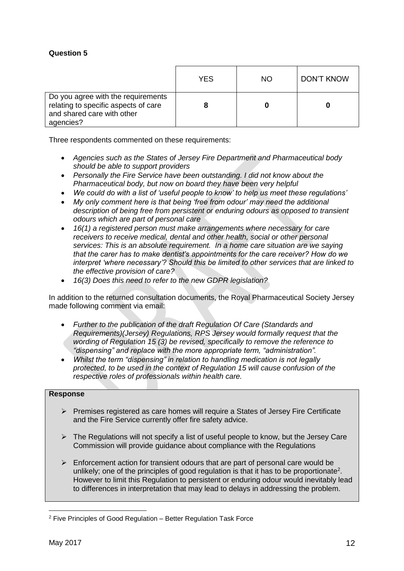# **Question 5**

|                                                                                                                       | YES | <b>NO</b> | DON'T KNOW |
|-----------------------------------------------------------------------------------------------------------------------|-----|-----------|------------|
| Do you agree with the requirements<br>relating to specific aspects of care<br>and shared care with other<br>agencies? |     |           |            |

Three respondents commented on these requirements:

- *Agencies such as the States of Jersey Fire Department and Pharmaceutical body should be able to support providers*
- *Personally the Fire Service have been outstanding. I did not know about the Pharmaceutical body, but now on board they have been very helpful*
- *We could do with a list of 'useful people to know' to help us meet these regulations'*
- *My only comment here is that being 'free from odour' may need the additional description of being free from persistent or enduring odours as opposed to transient odours which are part of personal care*
- *16(1) a registered person must make arrangements where necessary for care receivers to receive medical, dental and other health, social or other personal services: This is an absolute requirement. In a home care situation are we saying that the carer has to make dentist's appointments for the care receiver? How do we interpret 'where necessary'? Should this be limited to other services that are linked to the effective provision of care?*
- *16(3) Does this need to refer to the new GDPR legislation?*

In addition to the returned consultation documents, the Royal Pharmaceutical Society Jersey made following comment via email:

- *Further to the publication of the draft Regulation Of Care (Standards and Requirements)(Jersey) Regulations, RPS Jersey would formally request that the wording of Regulation 15 (3) be revised, specifically to remove the reference to "dispensing" and replace with the more appropriate term, "administration".*
- *Whilst the term "dispensing" in relation to handling medication is not legally protected, to be used in the context of Regulation 15 will cause confusion of the respective roles of professionals within health care.*

#### **Response**

- $\triangleright$  Premises registered as care homes will require a States of Jersey Fire Certificate and the Fire Service currently offer fire safety advice.
- $\triangleright$  The Regulations will not specify a list of useful people to know, but the Jersey Care Commission will provide guidance about compliance with the Regulations
- $\triangleright$  Enforcement action for transient odours that are part of personal care would be unlikely; one of the principles of good regulation is that it has to be proportionate<sup>2</sup>. However to limit this Regulation to persistent or enduring odour would inevitably lead to differences in interpretation that may lead to delays in addressing the problem.

<u>.</u>

<sup>2</sup> Five Principles of Good Regulation – Better Regulation Task Force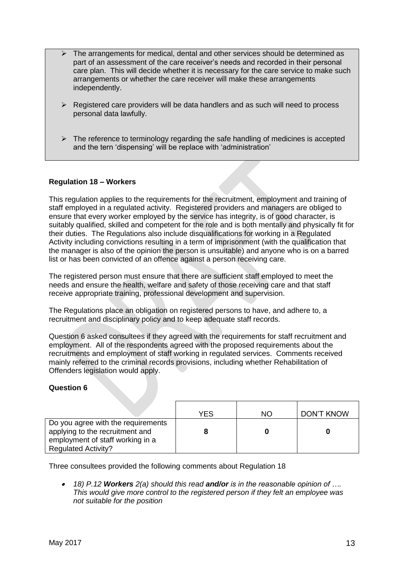- The arrangements for medical, dental and other services should be determined as part of an assessment of the care receiver's needs and recorded in their personal care plan. This will decide whether it is necessary for the care service to make such arrangements or whether the care receiver will make these arrangements independently.
- $\triangleright$  Registered care providers will be data handlers and as such will need to process personal data lawfully.
- $\triangleright$  The reference to terminology regarding the safe handling of medicines is accepted and the tern 'dispensing' will be replace with 'administration'

# **Regulation 18 – Workers**

This regulation applies to the requirements for the recruitment, employment and training of staff employed in a regulated activity. Registered providers and managers are obliged to ensure that every worker employed by the service has integrity, is of good character, is suitably qualified, skilled and competent for the role and is both mentally and physically fit for their duties. The Regulations also include disqualifications for working in a Regulated Activity including convictions resulting in a term of imprisonment (with the qualification that the manager is also of the opinion the person is unsuitable) and anyone who is on a barred list or has been convicted of an offence against a person receiving care.

The registered person must ensure that there are sufficient staff employed to meet the needs and ensure the health, welfare and safety of those receiving care and that staff receive appropriate training, professional development and supervision.

The Regulations place an obligation on registered persons to have, and adhere to, a recruitment and disciplinary policy and to keep adequate staff records.

Question 6 asked consultees if they agreed with the requirements for staff recruitment and employment. All of the respondents agreed with the proposed requirements about the recruitments and employment of staff working in regulated services. Comments received mainly referred to the criminal records provisions, including whether Rehabilitation of Offenders legislation would apply.

# **Question 6**

|                                                                                                                                         | YES | ΝO | <b>DON'T KNOW</b> |
|-----------------------------------------------------------------------------------------------------------------------------------------|-----|----|-------------------|
| Do you agree with the requirements<br>applying to the recruitment and<br>employment of staff working in a<br><b>Regulated Activity?</b> |     |    |                   |

Three consultees provided the following comments about Regulation 18

 $\bullet$  *18) P.12 Workers 2(a) should this read and/or is in the reasonable opinion of …. This would give more control to the registered person if they felt an employee was not suitable for the position*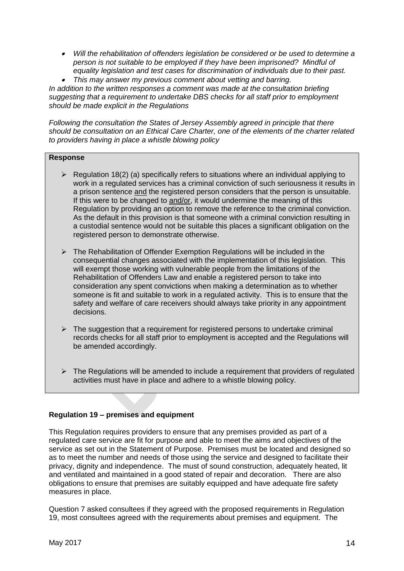- *Will the rehabilitation of offenders legislation be considered or be used to determine a person is not suitable to be employed if they have been imprisoned? Mindful of equality legislation and test cases for discrimination of individuals due to their past.*
- $\bullet$ *This may answer my previous comment about vetting and barring.*

*In addition to the written responses a comment was made at the consultation briefing suggesting that a requirement to undertake DBS checks for all staff prior to employment should be made explicit in the Regulations* 

*Following the consultation the States of Jersey Assembly agreed in principle that there should be consultation on an Ethical Care Charter, one of the elements of the charter related to providers having in place a whistle blowing policy*

# **Response**

- $\triangleright$  Regulation 18(2) (a) specifically refers to situations where an individual applying to work in a regulated services has a criminal conviction of such seriousness it results in a prison sentence and the registered person considers that the person is unsuitable. If this were to be changed to and/or, it would undermine the meaning of this Regulation by providing an option to remove the reference to the criminal conviction. As the default in this provision is that someone with a criminal conviction resulting in a custodial sentence would not be suitable this places a significant obligation on the registered person to demonstrate otherwise.
- $\triangleright$  The Rehabilitation of Offender Exemption Regulations will be included in the consequential changes associated with the implementation of this legislation. This will exempt those working with vulnerable people from the limitations of the Rehabilitation of Offenders Law and enable a registered person to take into consideration any spent convictions when making a determination as to whether someone is fit and suitable to work in a regulated activity. This is to ensure that the safety and welfare of care receivers should always take priority in any appointment decisions.
- $\triangleright$  The suggestion that a requirement for registered persons to undertake criminal records checks for all staff prior to employment is accepted and the Regulations will be amended accordingly.
- $\triangleright$  The Regulations will be amended to include a requirement that providers of regulated activities must have in place and adhere to a whistle blowing policy.

# **Regulation 19 – premises and equipment**

This Regulation requires providers to ensure that any premises provided as part of a regulated care service are fit for purpose and able to meet the aims and objectives of the service as set out in the Statement of Purpose. Premises must be located and designed so as to meet the number and needs of those using the service and designed to facilitate their privacy, dignity and independence. The must of sound construction, adequately heated, lit and ventilated and maintained in a good stated of repair and decoration. There are also obligations to ensure that premises are suitably equipped and have adequate fire safety measures in place.

Question 7 asked consultees if they agreed with the proposed requirements in Regulation 19, most consultees agreed with the requirements about premises and equipment. The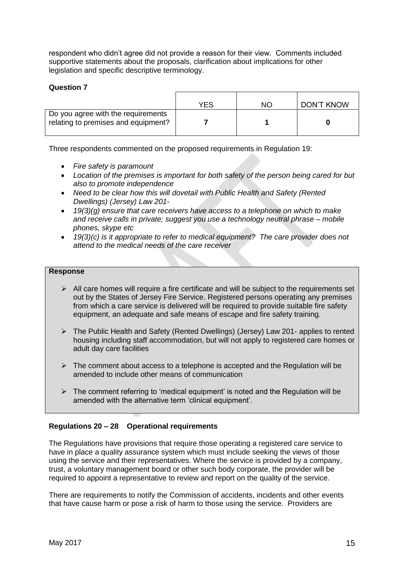respondent who didn't agree did not provide a reason for their view. Comments included supportive statements about the proposals, clarification about implications for other legislation and specific descriptive terminology.

# **Question 7**

|                                                                           | YES | NO. | DON'T KNOW |
|---------------------------------------------------------------------------|-----|-----|------------|
| Do you agree with the requirements<br>relating to premises and equipment? |     |     |            |

Three respondents commented on the proposed requirements in Regulation 19:

- *Fire safety is paramount*
- *Location of the premises is important for both safety of the person being cared for but also to promote independence*
- Need to be clear how this will dovetail with Public Health and Safety (Rented *Dwellings) (Jersey) Law 201-*
- *19(3)(g) ensure that care receivers have access to a telephone on which to make and receive calls in private; suggest you use a technology neutral phrase – mobile phones, skype etc*
- *19(3)(c) is it appropriate to refer to medical equipment? The care provider does not attend to the medical needs of the care receiver*

### **Response**

- $\triangleright$  All care homes will require a fire certificate and will be subject to the requirements set out by the States of Jersey Fire Service. Registered persons operating any premises from which a care service is delivered will be required to provide suitable fire safety equipment, an adequate and safe means of escape and fire safety training.
- The Public Health and Safety (Rented Dwellings) (Jersey) Law 201- applies to rented housing including staff accommodation, but will not apply to registered care homes or adult day care facilities
- $\triangleright$  The comment about access to a telephone is accepted and the Regulation will be amended to include other means of communication
- $\triangleright$  The comment referring to 'medical equipment' is noted and the Regulation will be amended with the alternative term 'clinical equipment'.

# **Regulations 20 – 28 Operational requirements**

The Regulations have provisions that require those operating a registered care service to have in place a quality assurance system which must include seeking the views of those using the service and their representatives. Where the service is provided by a company, trust, a voluntary management board or other such body corporate, the provider will be required to appoint a representative to review and report on the quality of the service.

There are requirements to notify the Commission of accidents, incidents and other events that have cause harm or pose a risk of harm to those using the service. Providers are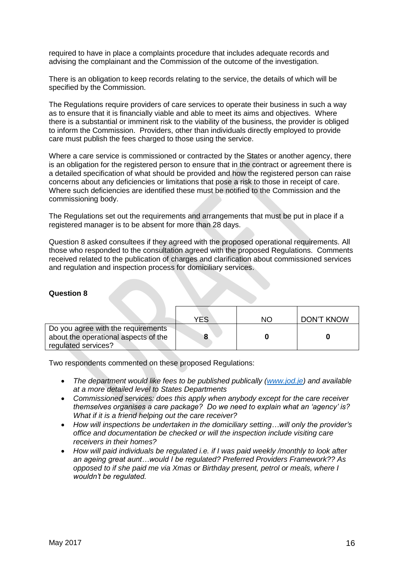required to have in place a complaints procedure that includes adequate records and advising the complainant and the Commission of the outcome of the investigation.

There is an obligation to keep records relating to the service, the details of which will be specified by the Commission.

The Regulations require providers of care services to operate their business in such a way as to ensure that it is financially viable and able to meet its aims and objectives. Where there is a substantial or imminent risk to the viability of the business, the provider is obliged to inform the Commission. Providers, other than individuals directly employed to provide care must publish the fees charged to those using the service.

Where a care service is commissioned or contracted by the States or another agency, there is an obligation for the registered person to ensure that in the contract or agreement there is a detailed specification of what should be provided and how the registered person can raise concerns about any deficiencies or limitations that pose a risk to those in receipt of care. Where such deficiencies are identified these must be notified to the Commission and the commissioning body.

The Regulations set out the requirements and arrangements that must be put in place if a registered manager is to be absent for more than 28 days.

Question 8 asked consultees if they agreed with the proposed operational requirements. All those who responded to the consultation agreed with the proposed Regulations. Comments received related to the publication of charges and clarification about commissioned services and regulation and inspection process for domiciliary services.

#### **Question 8**

|                                                                                                   | YES | NΟ | DON'T KNOW |
|---------------------------------------------------------------------------------------------------|-----|----|------------|
| Do you agree with the requirements<br>about the operational aspects of the<br>regulated services? |     |    |            |

Two respondents commented on these proposed Regulations:

- The department would like fees to be published publically [\(www.jod.je\)](http://www.jod.je/) and available *at a more detailed level to States Departments*
- *Commissioned services: does this apply when anybody except for the care receiver themselves organises a care package? Do we need to explain what an 'agency' is? What if it is a friend helping out the care receiver?*
- *How will inspections be undertaken in the domiciliary setting…will only the provider's office and documentation be checked or will the inspection include visiting care receivers in their homes?*
- *How will paid individuals be regulated i.e. if I was paid weekly /monthly to look after an ageing great aunt…would I be regulated? Preferred Providers Framework?? As opposed to if she paid me via Xmas or Birthday present, petrol or meals, where I wouldn't be regulated.*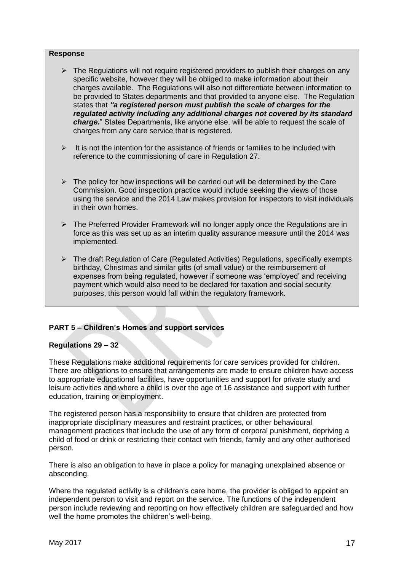#### **Response**

- $\triangleright$  The Regulations will not require registered providers to publish their charges on any specific website, however they will be obliged to make information about their charges available. The Regulations will also not differentiate between information to be provided to States departments and that provided to anyone else. The Regulation states that *"a registered person must publish the scale of charges for the regulated activity including any additional charges not covered by its standard charge.*" States Departments, like anyone else, will be able to request the scale of charges from any care service that is registered.
- $\triangleright$  It is not the intention for the assistance of friends or families to be included with reference to the commissioning of care in Regulation 27.
- $\triangleright$  The policy for how inspections will be carried out will be determined by the Care Commission. Good inspection practice would include seeking the views of those using the service and the 2014 Law makes provision for inspectors to visit individuals in their own homes.
- $\triangleright$  The Preferred Provider Framework will no longer apply once the Regulations are in force as this was set up as an interim quality assurance measure until the 2014 was implemented.
- $\triangleright$  The draft Regulation of Care (Regulated Activities) Regulations, specifically exempts birthday, Christmas and similar gifts (of small value) or the reimbursement of expenses from being regulated, however if someone was 'employed' and receiving payment which would also need to be declared for taxation and social security purposes, this person would fall within the regulatory framework.

# **PART 5 – Children's Homes and support services**

#### **Regulations 29 – 32**

These Regulations make additional requirements for care services provided for children. There are obligations to ensure that arrangements are made to ensure children have access to appropriate educational facilities, have opportunities and support for private study and leisure activities and where a child is over the age of 16 assistance and support with further education, training or employment.

The registered person has a responsibility to ensure that children are protected from inappropriate disciplinary measures and restraint practices, or other behavioural management practices that include the use of any form of corporal punishment, depriving a child of food or drink or restricting their contact with friends, family and any other authorised person.

There is also an obligation to have in place a policy for managing unexplained absence or absconding.

Where the regulated activity is a children's care home, the provider is obliged to appoint an independent person to visit and report on the service. The functions of the independent person include reviewing and reporting on how effectively children are safeguarded and how well the home promotes the children's well-being.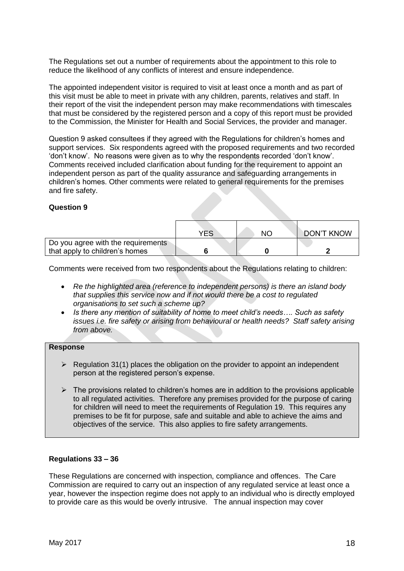The Regulations set out a number of requirements about the appointment to this role to reduce the likelihood of any conflicts of interest and ensure independence.

The appointed independent visitor is required to visit at least once a month and as part of this visit must be able to meet in private with any children, parents, relatives and staff. In their report of the visit the independent person may make recommendations with timescales that must be considered by the registered person and a copy of this report must be provided to the Commission, the Minister for Health and Social Services, the provider and manager.

Question 9 asked consultees if they agreed with the Regulations for children's homes and support services. Six respondents agreed with the proposed requirements and two recorded 'don't know'. No reasons were given as to why the respondents recorded 'don't know'. Comments received included clarification about funding for the requirement to appoint an independent person as part of the quality assurance and safeguarding arrangements in children's homes. Other comments were related to general requirements for the premises and fire safety.

### **Question 9**

|                                    | YES | ΝC | <b>DON'T KNOW</b> |
|------------------------------------|-----|----|-------------------|
| Do you agree with the requirements |     |    |                   |
| that apply to children's homes     |     |    |                   |

Comments were received from two respondents about the Regulations relating to children:

- *Re the highlighted area (reference to independent persons) is there an island body that supplies this service now and if not would there be a cost to regulated organisations to set such a scheme up?*
- *Is there any mention of suitability of home to meet child's needs…. Such as safety issues i.e. fire safety or arising from behavioural or health needs? Staff safety arising from above.*

# **Response**

- $\triangleright$  Regulation 31(1) places the obligation on the provider to appoint an independent person at the registered person's expense.
- $\triangleright$  The provisions related to children's homes are in addition to the provisions applicable to all regulated activities. Therefore any premises provided for the purpose of caring for children will need to meet the requirements of Regulation 19. This requires any premises to be fit for purpose, safe and suitable and able to achieve the aims and objectives of the service. This also applies to fire safety arrangements.

#### **Regulations 33 – 36**

These Regulations are concerned with inspection, compliance and offences. The Care Commission are required to carry out an inspection of any regulated service at least once a year, however the inspection regime does not apply to an individual who is directly employed to provide care as this would be overly intrusive. The annual inspection may cover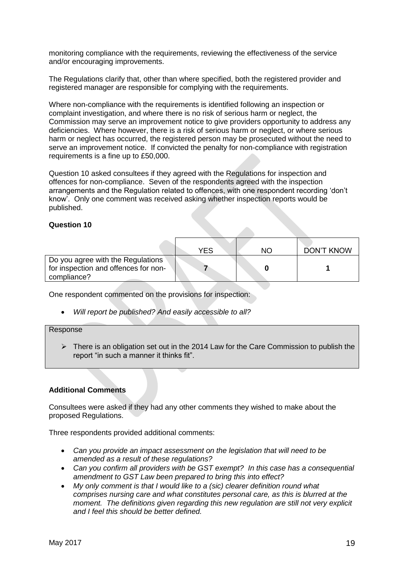monitoring compliance with the requirements, reviewing the effectiveness of the service and/or encouraging improvements.

The Regulations clarify that, other than where specified, both the registered provider and registered manager are responsible for complying with the requirements.

Where non-compliance with the requirements is identified following an inspection or complaint investigation, and where there is no risk of serious harm or neglect, the Commission may serve an improvement notice to give providers opportunity to address any deficiencies. Where however, there is a risk of serious harm or neglect, or where serious harm or neglect has occurred, the registered person may be prosecuted without the need to serve an improvement notice. If convicted the penalty for non-compliance with registration requirements is a fine up to £50,000.

Question 10 asked consultees if they agreed with the Regulations for inspection and offences for non-compliance. Seven of the respondents agreed with the inspection arrangements and the Regulation related to offences, with one respondent recording 'don't know'. Only one comment was received asking whether inspection reports would be published.

#### **Question 10**

|                                                                                          | YFS | NΟ | <b>DON'T KNOW</b> |
|------------------------------------------------------------------------------------------|-----|----|-------------------|
| Do you agree with the Regulations<br>for inspection and offences for non-<br>compliance? |     |    |                   |

One respondent commented on the provisions for inspection:

*Will report be published? And easily accessible to all?*

#### Response

 $\triangleright$  There is an obligation set out in the 2014 Law for the Care Commission to publish the report "in such a manner it thinks fit".

#### **Additional Comments**

Consultees were asked if they had any other comments they wished to make about the proposed Regulations.

Three respondents provided additional comments:

- *Can you provide an impact assessment on the legislation that will need to be amended as a result of these regulations?*
- *Can you confirm all providers with be GST exempt? In this case has a consequential amendment to GST Law been prepared to bring this into effect?*
- *My only comment is that I would like to a (sic) clearer definition round what comprises nursing care and what constitutes personal care, as this is blurred at the moment. The definitions given regarding this new regulation are still not very explicit and I feel this should be better defined.*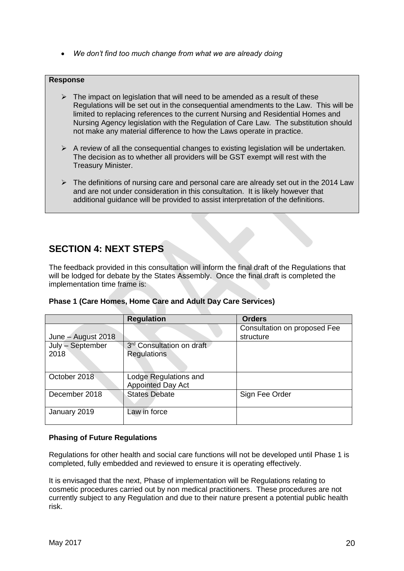*We don't find too much change from what we are already doing*

# **Response**

- $\triangleright$  The impact on legislation that will need to be amended as a result of these Regulations will be set out in the consequential amendments to the Law. This will be limited to replacing references to the current Nursing and Residential Homes and Nursing Agency legislation with the Regulation of Care Law. The substitution should not make any material difference to how the Laws operate in practice.
- $\triangleright$  A review of all the consequential changes to existing legislation will be undertaken. The decision as to whether all providers will be GST exempt will rest with the Treasury Minister.
- $\triangleright$  The definitions of nursing care and personal care are already set out in the 2014 Law and are not under consideration in this consultation. It is likely however that additional guidance will be provided to assist interpretation of the definitions.

# **SECTION 4: NEXT STEPS**

The feedback provided in this consultation will inform the final draft of the Regulations that will be lodged for debate by the States Assembly. Once the final draft is completed the implementation time frame is:

|                    | <b>Regulation</b>                                 | <b>Orders</b>                             |
|--------------------|---------------------------------------------------|-------------------------------------------|
| June - August 2018 |                                                   | Consultation on proposed Fee<br>structure |
| July - September   | 3rd Consultation on draft                         |                                           |
| 2018               | <b>Regulations</b>                                |                                           |
| October 2018       | Lodge Regulations and<br><b>Appointed Day Act</b> |                                           |
| December 2018      | <b>States Debate</b>                              | Sign Fee Order                            |
| January 2019       | Law in force                                      |                                           |

# **Phasing of Future Regulations**

Regulations for other health and social care functions will not be developed until Phase 1 is completed, fully embedded and reviewed to ensure it is operating effectively.

It is envisaged that the next, Phase of implementation will be Regulations relating to cosmetic procedures carried out by non medical practitioners. These procedures are not currently subject to any Regulation and due to their nature present a potential public health risk.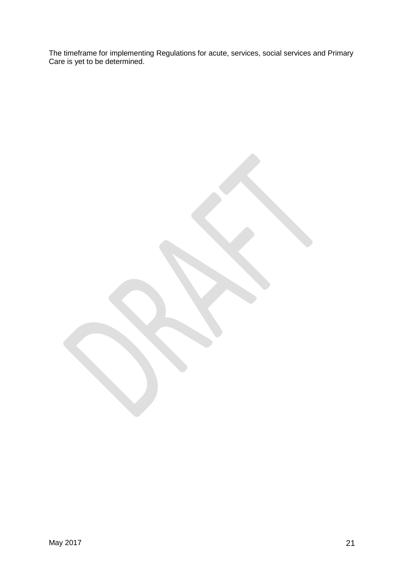The timeframe for implementing Regulations for acute, services, social services and Primary Care is yet to be determined.